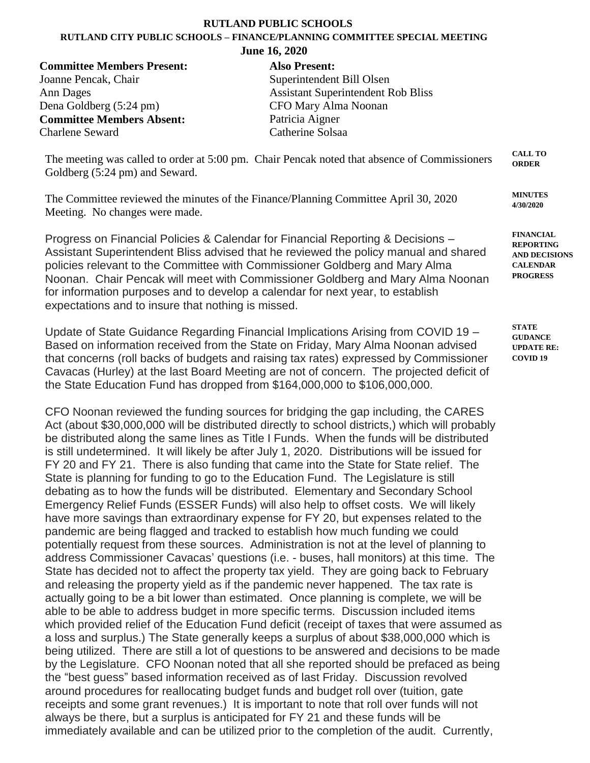## **RUTLAND PUBLIC SCHOOLS**

## **RUTLAND CITY PUBLIC SCHOOLS – FINANCE/PLANNING COMMITTEE SPECIAL MEETING**

**June 16, 2020**

**Committee Members Present: Also Present:** Joanne Pencak, Chair Superintendent Bill Olsen Dena Goldberg (5:24 pm) CFO Mary Alma Noonan **Committee Members Absent:** Patricia Aigner Charlene Seward Catherine Solsaa

Ann Dages Assistant Superintendent Rob Bliss

The meeting was called to order at 5:00 pm. Chair Pencak noted that absence of Commissioners Goldberg (5:24 pm) and Seward. **CALL TO ORDER**

The Committee reviewed the minutes of the Finance/Planning Committee April 30, 2020 Meeting. No changes were made.

Progress on Financial Policies & Calendar for Financial Reporting & Decisions – Assistant Superintendent Bliss advised that he reviewed the policy manual and shared policies relevant to the Committee with Commissioner Goldberg and Mary Alma Noonan. Chair Pencak will meet with Commissioner Goldberg and Mary Alma Noonan for information purposes and to develop a calendar for next year, to establish expectations and to insure that nothing is missed.

Update of State Guidance Regarding Financial Implications Arising from COVID 19 – Based on information received from the State on Friday, Mary Alma Noonan advised that concerns (roll backs of budgets and raising tax rates) expressed by Commissioner Cavacas (Hurley) at the last Board Meeting are not of concern. The projected deficit of the State Education Fund has dropped from \$164,000,000 to \$106,000,000.

CFO Noonan reviewed the funding sources for bridging the gap including, the CARES Act (about \$30,000,000 will be distributed directly to school districts,) which will probably be distributed along the same lines as Title I Funds. When the funds will be distributed is still undetermined. It will likely be after July 1, 2020. Distributions will be issued for FY 20 and FY 21. There is also funding that came into the State for State relief. The State is planning for funding to go to the Education Fund. The Legislature is still debating as to how the funds will be distributed. Elementary and Secondary School Emergency Relief Funds (ESSER Funds) will also help to offset costs. We will likely have more savings than extraordinary expense for FY 20, but expenses related to the pandemic are being flagged and tracked to establish how much funding we could potentially request from these sources. Administration is not at the level of planning to address Commissioner Cavacas' questions (i.e. - buses, hall monitors) at this time. The State has decided not to affect the property tax yield. They are going back to February and releasing the property yield as if the pandemic never happened. The tax rate is actually going to be a bit lower than estimated. Once planning is complete, we will be able to be able to address budget in more specific terms. Discussion included items which provided relief of the Education Fund deficit (receipt of taxes that were assumed as a loss and surplus.) The State generally keeps a surplus of about \$38,000,000 which is being utilized. There are still a lot of questions to be answered and decisions to be made by the Legislature. CFO Noonan noted that all she reported should be prefaced as being the "best guess" based information received as of last Friday. Discussion revolved around procedures for reallocating budget funds and budget roll over (tuition, gate receipts and some grant revenues.) It is important to note that roll over funds will not always be there, but a surplus is anticipated for FY 21 and these funds will be immediately available and can be utilized prior to the completion of the audit. Currently,

**MINUTES 4/30/2020**

**FINANCIAL REPORTING AND DECISIONS CALENDAR PROGRESS**

**STATE GUDANCE UPDATE RE: COVID 19**